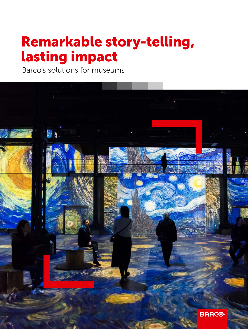## Remarkable story-telling, lasting impact

Barco's solutions for museums

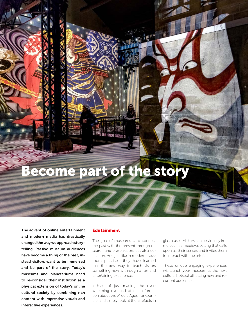## ecome part of the story

The advent of online entertainment and modern media has drastically changed the way we approach storytelling. Passive museum audiences have become a thing of the past, instead visitors want to be immersed and be part of the story. Today's museums and planetariums need to re-consider their institution as a physical extension of today's online cultural society by combining rich content with impressive visuals and interactive experiences.

#### Edutainment

The goal of museums is to connect the past with the present through research and preservation, but also education. And just like in modern classroom practices, they have learned that the best way to teach visitors something new is through a fun and entertaining experience.

Instead of just reading the overwhelming overload of dull information about the Middle Ages, for example, and simply look at the artefacts in

glass cases; visitors can be virtually immersed in a medieval setting that calls upon all their senses and invites them to interact with the artefacts.

These unique engaging experiences will launch your museum as the next cultural hotspot attracting new and recurrent audiences.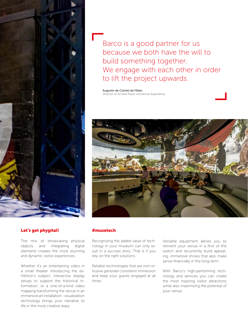

Barco is a good partner for us because we both have the will to build something together. We engage with each other in order to lift the project upwards.

Augustin de Cointet de Fillain, Director of Art and Music Immersive Experience



### Let's get phygital!

The mix of showcasing physical objects and integrating digital elements creates the most stunning and dynamic visitor experiences.

Whether it's an entertaining video in a small theater introducing the exhibition's subject, interactive display setups to support the historical information, or a one-of-a-kind video mapping transforming the venue in an immersive art installation - visualization technology brings your narrative to life in the most creative ways.

#### #musetech

Recognizing the added value of technology in your museum can only result in a success story. That is if you rely on the right solutions.

Reliable technologies that are non-intrusive generate consistent immersion and keep your guests engaged at all times.

Versatile equipment allows you to reinvent your venue in a flick of the switch and recurrently build appealing, immersive shows that also make sense financially in the long-term.

With Barco's high-performing technology and services you can create the most inspiring visitor attractions while also maximizing the potential of your venue.